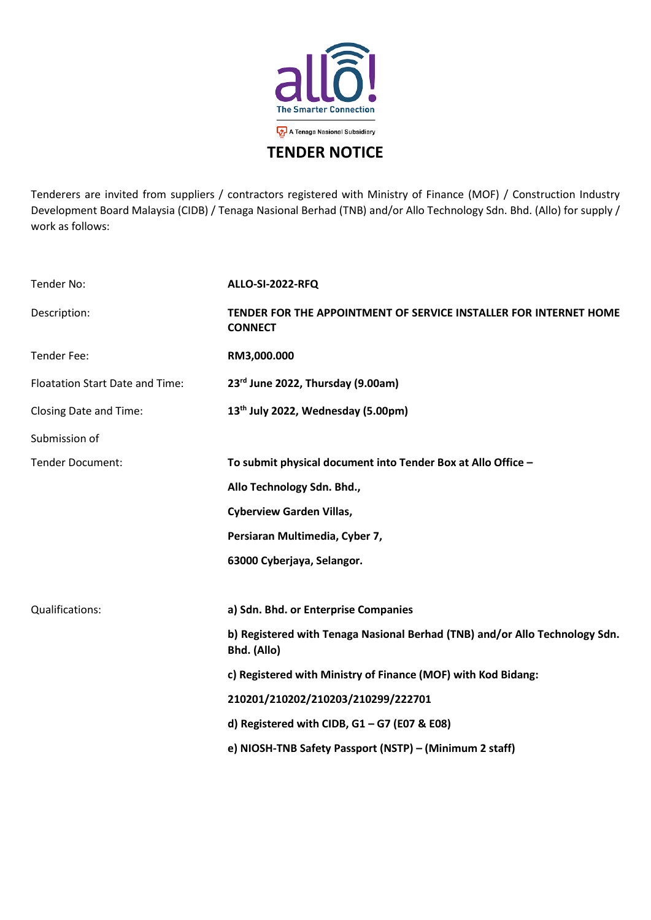

Tenderers are invited from suppliers / contractors registered with Ministry of Finance (MOF) / Construction Industry Development Board Malaysia (CIDB) / Tenaga Nasional Berhad (TNB) and/or Allo Technology Sdn. Bhd. (Allo) for supply / work as follows:

| Tender No:                             | <b>ALLO-SI-2022-RFQ</b>                                                                    |
|----------------------------------------|--------------------------------------------------------------------------------------------|
| Description:                           | TENDER FOR THE APPOINTMENT OF SERVICE INSTALLER FOR INTERNET HOME<br><b>CONNECT</b>        |
| Tender Fee:                            | RM3,000.000                                                                                |
| <b>Floatation Start Date and Time:</b> | 23rd June 2022, Thursday (9.00am)                                                          |
| <b>Closing Date and Time:</b>          | 13 <sup>th</sup> July 2022, Wednesday (5.00pm)                                             |
| Submission of                          |                                                                                            |
| Tender Document:                       | To submit physical document into Tender Box at Allo Office -                               |
|                                        | Allo Technology Sdn. Bhd.,                                                                 |
|                                        | <b>Cyberview Garden Villas,</b>                                                            |
|                                        | Persiaran Multimedia, Cyber 7,                                                             |
|                                        | 63000 Cyberjaya, Selangor.                                                                 |
|                                        |                                                                                            |
| Qualifications:                        | a) Sdn. Bhd. or Enterprise Companies                                                       |
|                                        | b) Registered with Tenaga Nasional Berhad (TNB) and/or Allo Technology Sdn.<br>Bhd. (Allo) |
|                                        | c) Registered with Ministry of Finance (MOF) with Kod Bidang:                              |
|                                        | 210201/210202/210203/210299/222701                                                         |
|                                        | d) Registered with CIDB, $G1 - G7$ (E07 & E08)                                             |
|                                        | e) NIOSH-TNB Safety Passport (NSTP) - (Minimum 2 staff)                                    |